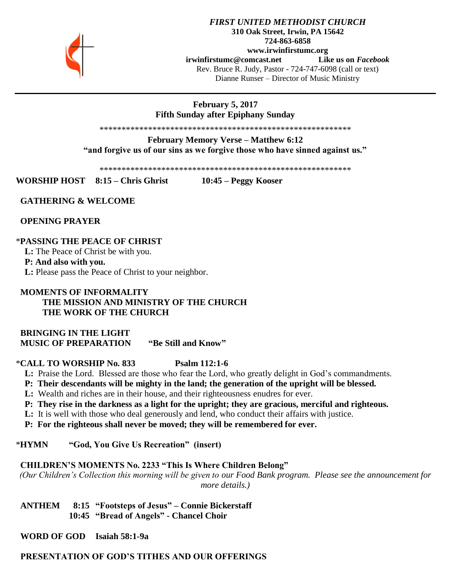

# **February 5, 2017 Fifth Sunday after Epiphany Sunday**

\*\*\*\*\*\*\*\*\*\*\*\*\*\*\*\*\*\*\*\*\*\*\*\*\*\*\*\*\*\*\*\*\*\*\*\*\*\*\*\*\*\*\*\*\*\*\*\*\*\*\*\*\*\*\*\*\*

**February Memory Verse – Matthew 6:12 "and forgive us of our sins as we forgive those who have sinned against us."**

\*\*\*\*\*\*\*\*\*\*\*\*\*\*\*\*\*\*\*\*\*\*\*\*\*\*\*\*\*\*\*\*\*\*\*\*\*\*\*\*\*\*\*\*\*\*\*\*\*\*\*\*\*\*\*\*\*

**WORSHIP HOST 8:15 – Chris Ghrist 10:45 – Peggy Kooser**

 **GATHERING & WELCOME** 

 **OPENING PRAYER**

# \***PASSING THE PEACE OF CHRIST**

 **L:** The Peace of Christ be with you.

 **P: And also with you.**

 **L:** Please pass the Peace of Christ to your neighbor.

# **MOMENTS OF INFORMALITY THE MISSION AND MINISTRY OF THE CHURCH THE WORK OF THE CHURCH**

 **BRINGING IN THE LIGHT MUSIC OF PREPARATION "Be Still and Know"**

\***CALL TO WORSHIP No. 833 Psalm 112:1-6**

 **L:** Praise the Lord. Blessed are those who fear the Lord, who greatly delight in God's commandments.

- **P: Their descendants will be mighty in the land; the generation of the upright will be blessed.**
- **L:** Wealth and riches are in their house, and their righteousness enudres for ever.
- **P: They rise in the darkness as a light for the upright; they are gracious, merciful and righteous.**
- **L:** It is well with those who deal generously and lend, who conduct their affairs with justice.
- **P: For the righteous shall never be moved; they will be remembered for ever.**

\***HYMN "God, You Give Us Recreation" (insert)**

### **CHILDREN'S MOMENTS No. 2233 "This Is Where Children Belong"**

*(Our Children's Collection this morning will be given to our Food Bank program. Please see the announcement for more details.)*

 **ANTHEM 8:15 "Footsteps of Jesus" – Connie Bickerstaff 10:45 "Bread of Angels" - Chancel Choir**

 **WORD OF GOD Isaiah 58:1-9a**

 **PRESENTATION OF GOD'S TITHES AND OUR OFFERINGS**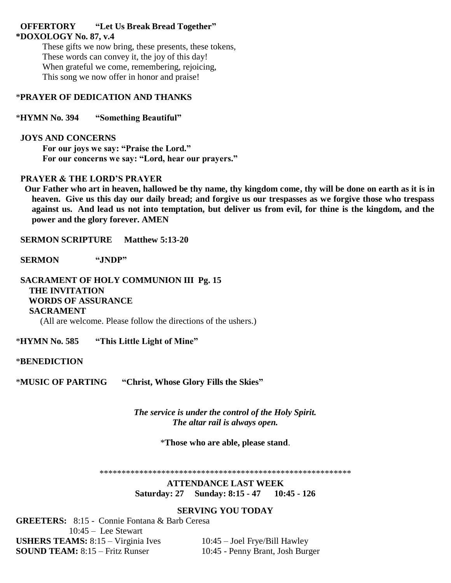### **OFFERTORY "Let Us Break Bread Together" \*DOXOLOGY No. 87, v.4**

These gifts we now bring, these presents, these tokens, These words can convey it, the joy of this day! When grateful we come, remembering, rejoicing, This song we now offer in honor and praise!

## \***PRAYER OF DEDICATION AND THANKS**

\***HYMN No. 394 "Something Beautiful"**

### **JOYS AND CONCERNS**

**For our joys we say: "Praise the Lord." For our concerns we say: "Lord, hear our prayers."**

# **PRAYER & THE LORD'S PRAYER**

 **Our Father who art in heaven, hallowed be thy name, thy kingdom come, thy will be done on earth as it is in heaven. Give us this day our daily bread; and forgive us our trespasses as we forgive those who trespass against us. And lead us not into temptation, but deliver us from evil, for thine is the kingdom, and the power and the glory forever. AMEN**

 **SERMON SCRIPTURE Matthew 5:13-20**

 **SERMON "JNDP"**

 **SACRAMENT OF HOLY COMMUNION III Pg. 15 THE INVITATION WORDS OF ASSURANCE SACRAMENT** (All are welcome. Please follow the directions of the ushers.)

\***HYMN No. 585 "This Little Light of Mine"**

\***BENEDICTION** 

\***MUSIC OF PARTING "Christ, Whose Glory Fills the Skies"**

*The service is under the control of the Holy Spirit. The altar rail is always open.*

\***Those who are able, please stand**.

\*\*\*\*\*\*\*\*\*\*\*\*\*\*\*\*\*\*\*\*\*\*\*\*\*\*\*\*\*\*\*\*\*\*\*\*\*\*\*\*\*\*\*\*\*\*\*\*\*\*\*\*\*\*\*\*\*

**ATTENDANCE LAST WEEK Saturday: 27 Sunday: 8:15 - 47 10:45 - 126**

# **SERVING YOU TODAY**

**GREETERS:** 8:15 - Connie Fontana & Barb Ceresa 10:45 – Lee Stewart **USHERS TEAMS:** 8:15 – Virginia Ives 10:45 – Joel Frye/Bill Hawley **SOUND TEAM:** 8:15 – Fritz Runser 10:45 - Penny Brant, Josh Burger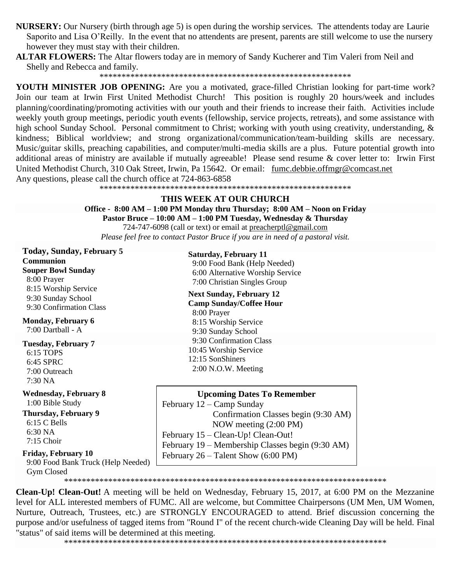**NURSERY:** Our Nursery (birth through age 5) is open during the worship services. The attendents today are Laurie Saporito and Lisa O'Reilly. In the event that no attendents are present, parents are still welcome to use the nursery however they must stay with their children.

**ALTAR FLOWERS:** The Altar flowers today are in memory of Sandy Kucherer and Tim Valeri from Neil and Shelly and Rebecca and family.

\*\*\*\*\*\*\*\*\*\*\*\*\*\*\*\*\*\*\*\*\*\*\*\*\*\*\*\*\*\*\*\*\*\*\*\*\*\*\*\*\*\*\*\*\*\*\*\*\*\*\*\*\*\*\*\*\*

**YOUTH MINISTER JOB OPENING:** Are you a motivated, grace-filled Christian looking for part-time work? Join our team at Irwin First United Methodist Church! This position is roughly 20 hours/week and includes planning/coordinating/promoting activities with our youth and their friends to increase their faith. Activities include weekly youth group meetings, periodic youth events (fellowship, service projects, retreats), and some assistance with high school Sunday School. Personal commitment to Christ; working with youth using creativity, understanding, & kindness; Biblical worldview; and strong organizational/communication/team-building skills are necessary. Music/guitar skills, preaching capabilities, and computer/multi-media skills are a plus. Future potential growth into additional areas of ministry are available if mutually agreeable! Please send resume & cover letter to: Irwin First United Methodist Church, 310 Oak Street, Irwin, Pa 15642. Or email: [fumc.debbie.offmgr@comcast.net](mailto:fumc.debbie.offmgr@comcast.net)  Any questions, please call the church office at 724-863-6858

\*\*\*\*\*\*\*\*\*\*\*\*\*\*\*\*\*\*\*\*\*\*\*\*\*\*\*\*\*\*\*\*\*\*\*\*\*\*\*\*\*\*\*\*\*\*\*\*\*\*\*\*\*\*\*\*\*

#### **THIS WEEK AT OUR CHURCH**

#### **Office - 8:00 AM – 1:00 PM Monday thru Thursday; 8:00 AM – Noon on Friday Pastor Bruce – 10:00 AM – 1:00 PM Tuesday, Wednesday & Thursday** 724-747-6098 (call or text) or email at [preacherptl@gmail.com](mailto:preacherptl@gmail.com)

*Please feel free to contact Pastor Bruce if you are in need of a pastoral visit.*

**Today, Sunday, February 5 Communion Souper Bowl Sunday** 8:00 Prayer 8:15 Worship Service 9:30 Sunday School 9:30 Confirmation Class

10:45 Worship Service **Monday, February 6**  $7:00$  Dartball - A

**Tuesday, February 7** 6:15 TOPS 6:45 SPRC 7:00 Outreach 7:30 NA

**Wednesday, February 8** 1:00 Bible Study

**Thursday, February 9** 6:15 C Bells 6:30 NA 7:15 Choir

 9:00 Food Bank Truck (Help Needed) Gym Closed

**Saturday, February 11** 9:00 Food Bank (Help Needed) 6:00 Alternative Worship Service 7:00 Christian Singles Group

**Next Sunday, February 12 Camp Sunday/Coffee Hour** 8:00 Prayer 8:15 Worship Service 9:30 Sunday School 9:30 Confirmation Class 10:45 Worship Service 12:15 SonShiners 2:00 N.O.W. Meeting

**Upcoming Dates To Remember** February 12 – Camp Sunday Confirmation Classes begin (9:30 AM) NOW meeting (2:00 PM) February 15 – Clean-Up! Clean-Out! February 19 – Membership Classes begin (9:30 AM) Friday, February 10 **February 26** – Talent Show (6:00 PM)

\*\*\*\*\*\*\*\*\*\*\*\*\*\*\*\*\*\*\*\*\*\*\*\*\*\*\*\*\*\*\*\*\*\*\*\*\*\*\*\*\*\*\*\*\*\*\*\*\*\*\*\*\*\*\*\*\*\*\*\*\*\*\*\*\*\*\*\*\*\*\*\*\*

**Clean-Up! Clean-Out!** A meeting will be held on Wednesday, February 15, 2017, at 6:00 PM on the Mezzanine level for ALL interested members of FUMC. All are welcome, but Committee Chairpersons (UM Men, UM Women, Nurture, Outreach, Trustees, etc.) are STRONGLY ENCOURAGED to attend. Brief discussion concerning the purpose and/or usefulness of tagged items from "Round I" of the recent church-wide Cleaning Day will be held. Final "status" of said items will be determined at this meeting.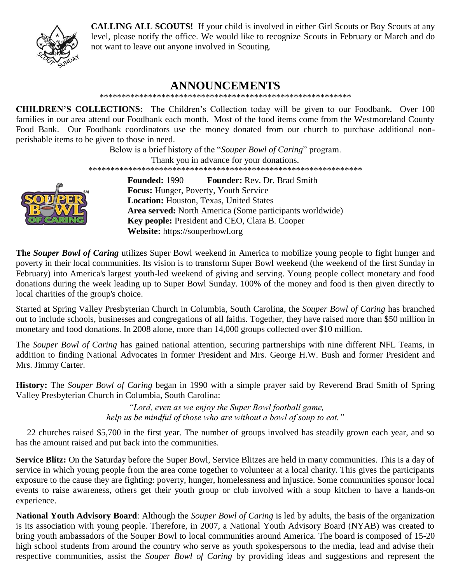

**CALLING ALL SCOUTS!** If your child is involved in either Girl Scouts or Boy Scouts at any level, please notify the office. We would like to recognize Scouts in February or March and do not want to leave out anyone involved in Scouting.

# **ANNOUNCEMENTS**

\*\*\*\*\*\*\*\*\*\*\*\*\*\*\*\*\*\*\*\*\*\*\*\*\*\*\*\*\*\*\*\*\*\*\*\*\*\*\*\*\*\*\*\*\*\*\*\*\*\*\*\*\*\*\*\*\*

**CHILDREN'S COLLECTIONS:** The Children's Collection today will be given to our Foodbank. Over 100 families in our area attend our Foodbank each month. Most of the food items come from the Westmoreland County Food Bank. Our Foodbank coordinators use the money donated from our church to purchase additional nonperishable items to be given to those in need.

> Below is a brief history of the "*Souper Bowl of Caring*" program. Thank you in advance for your donations. \*\*\*\*\*\*\*\*\*\*\*\*\*\*\*\*\*\*\*\*\*\*\*\*\*\*\*\*\*\*\*\*\*\*\*\*\*\*\*\*\*\*\*\*\*\*\*\*\*\*\*\*\*\*\*\*\*\*\*\*\*\* **Founded:** 1990 **Founder:** Rev. Dr. Brad Smith



**Focus:** [Hunger,](https://en.wikipedia.org/wiki/Hunger) [Poverty,](https://en.wikipedia.org/wiki/Poverty) Youth Service **Location:** [Houston, Texas,](https://en.wikipedia.org/wiki/Houston,_Texas) [United States](https://en.wikipedia.org/wiki/United_States) **Area served:** [North America](https://en.wikipedia.org/wiki/North_America) (Some participants worldwide) **Key people:** President and CEO, Clara B. Cooper **Website:** [https://souperbowl.org](https://souperbowl.org/)

**The** *Souper Bowl of Caring* utilizes [Super Bowl](https://en.wikipedia.org/wiki/Super_Bowl) weekend in America to mobilize young people to fight [hunger](https://en.wikipedia.org/wiki/Hunger) and [poverty](https://en.wikipedia.org/wiki/Poverty) in their local communities. Its vision is to transform Super Bowl weekend (the weekend of the first Sunday in February) into America's largest youth-led weekend of [giving and serving.](https://en.wikipedia.org/wiki/Charity_(practice)) Young people collect monetary and food donations during the week leading up to Super Bowl Sunday. 100% of the money and food is then given directly to local [charities](https://en.wikipedia.org/wiki/Charities) of the group's choice.

Started at Spring Valley [Presbyterian Church](https://en.wikipedia.org/wiki/Presbyterian_Church_(USA)) in [Columbia, South Carolina,](https://en.wikipedia.org/wiki/Columbia,_South_Carolina) the *Souper Bowl of Caring* has branched out to include [schools,](https://en.wikipedia.org/wiki/Schools) [businesses](https://en.wikipedia.org/wiki/Businesses) and congregations of all [faiths.](https://en.wikipedia.org/wiki/Faiths) Together, they have raised more than \$50 million in monetary and food donations. In 2008 alone, more than 14,000 groups collected over \$10 million.

The *Souper Bowl of Caring* has gained national attention, securing partnerships with nine different NFL Teams, in addition to finding National Advocates in former President and Mrs. [George H.W. Bush](https://en.wikipedia.org/wiki/George_H.W._Bush) and former President and Mrs. [Jimmy Carter.](https://en.wikipedia.org/wiki/Jimmy_Carter)

**History:** The *Souper Bowl of Caring* began in 1990 with a simple [prayer](https://en.wikipedia.org/wiki/Prayer) said by Reverend Brad Smith of Spring Valley Presbyterian Church in Columbia, South Carolina:

> *"Lord, even as we enjoy the Super Bowl football game, help us be mindful of those who are without a bowl of soup to eat."*

 22 churches raised \$5,700 in the first year. The number of groups involved has steadily grown each year, and so has the amount raised and put back into the communities.

**Service Blitz:** On the Saturday before the Super Bowl, Service Blitzes are held in many communities. This is a day of service in which young people from the area come together to volunteer at a local charity. This gives the participants exposure to the cause they are fighting: poverty, hunger, homelessness and injustice. Some communities sponsor local events to raise awareness, others get their youth group or club involved with a [soup kitchen](https://en.wikipedia.org/wiki/Soup_kitchen) to have a hands-on experience.

**National Youth Advisory Board**: Although the *Souper Bowl of Caring* is led by adults, the basis of the organization is its association with young people. Therefore, in 2007, a National Youth Advisory Board (NYAB) was created to bring youth ambassadors of the Souper Bowl to local communities around America. The board is composed of 15-20 high school students from around the country who serve as youth spokespersons to the media, lead and advise their respective communities, assist the *Souper Bowl of Caring* by providing ideas and suggestions and represent the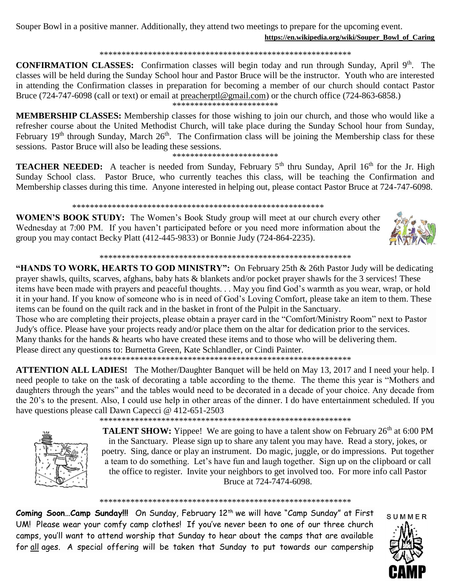Souper Bowl in a positive manner. Additionally, they attend two meetings to prepare for the upcoming event. **[https://en.wikipedia.org/wiki/Souper\\_Bowl\\_of\\_Caring](https://en.wikipedia.org/wiki/Souper_Bowl_of_Caring)**

#### \*\*\*\*\*\*\*\*\*\*\*\*\*\*\*\*\*\*\*\*\*\*\*\*\*\*\*\*\*\*\*\*\*\*\*\*\*\*\*\*\*\*\*\*\*\*\*\*\*\*\*\*\*\*\*\*\*

**CONFIRMATION CLASSES:** Confirmation classes will begin today and run through Sunday, April 9<sup>th</sup>. The classes will be held during the Sunday School hour and Pastor Bruce will be the instructor. Youth who are interested in attending the Confirmation classes in preparation for becoming a member of our church should contact Pastor Bruce (724-747-6098 (call or text) or email at [preacherptl@gmail.com\)](mailto:preacherptl@gmail.com) or the church office (724-863-6858.)

\*\*\*\*\*\*\*\*\*\*\*\*\*\*\*\*\*\*\*\*\*\*

**MEMBERSHIP CLASSES:** Membership classes for those wishing to join our church, and those who would like a refresher course about the United Methodist Church, will take place during the Sunday School hour from Sunday, February 19<sup>th</sup> through Sunday, March  $26<sup>th</sup>$ . The Confirmation class will be joining the Membership class for these sessions. Pastor Bruce will also be leading these sessions.

#### \*\*\*\*\*\*\*\*\*\*\*\*\*\*\*\*\*\*\*\*\*\*\*\*

**TEACHER NEEDED:** A teacher is needed from Sunday, February 5<sup>th</sup> thru Sunday, April 16<sup>th</sup> for the Jr. High Sunday School class. Pastor Bruce, who currently teaches this class, will be teaching the Confirmation and Membership classes during this time. Anyone interested in helping out, please contact Pastor Bruce at 724-747-6098.

#### \*\*\*\*\*\*\*\*\*\*\*\*\*\*\*\*\*\*\*\*\*\*\*\*\*\*\*\*\*\*\*\*\*\*\*\*\*\*\*\*\*\*\*\*\*\*\*\*\*\*\*\*\*\*\*\*\*

**WOMEN'S BOOK STUDY:** The Women's Book Study group will meet at our church every other Wednesday at 7:00 PM. If you haven't participated before or you need more information about the group you may contact Becky Platt (412-445-9833) or Bonnie Judy (724-864-2235).



\*\*\*\*\*\*\*\*\*\*\*\*\*\*\*\*\*\*\*\*\*\*\*\*\*\*\*\*\*\*\*\*\*\*\*\*\*\*\*\*\*\*\*\*\*\*\*\*\*\*\*\*\*\*\*\*\*

**"HANDS TO WORK, HEARTS TO GOD MINISTRY":** On February 25th & 26th Pastor Judy will be dedicating prayer shawls, quilts, scarves, afghans, baby hats & blankets and/or pocket prayer shawls for the 3 services! These items have been made with prayers and peaceful thoughts. . . May you find God's warmth as you wear, wrap, or hold it in your hand. If you know of someone who is in need of God's Loving Comfort, please take an item to them. These items can be found on the quilt rack and in the basket in front of the Pulpit in the Sanctuary.

Those who are completing their projects, please obtain a prayer card in the "Comfort/Ministry Room" next to Pastor Judy's office. Please have your projects ready and/or place them on the altar for dedication prior to the services. Many thanks for the hands & hearts who have created these items and to those who will be delivering them. Please direct any questions to: Burnetta Green, Kate Schlandler, or Cindi Painter.

\*\*\*\*\*\*\*\*\*\*\*\*\*\*\*\*\*\*\*\*\*\*\*\*\*\*\*\*\*\*\*\*\*\*\*\*\*\*\*\*\*\*\*\*\*\*\*\*\*\*\*\*\*\*\*\*\*

**ATTENTION ALL LADIES!** The Mother/Daughter Banquet will be held on May 13, 2017 and I need your help. I need people to take on the task of decorating a table according to the theme. The theme this year is "Mothers and daughters through the years" and the tables would need to be decorated in a decade of your choice. Any decade from the 20's to the present. Also, I could use help in other areas of the dinner. I do have entertainment scheduled. If you have questions please call Dawn Capecci @ 412-651-2503

\*\*\*\*\*\*\*\*\*\*\*\*\*\*\*\*\*\*\*\*\*\*\*\*\*\*\*\*\*\*\*\*\*\*\*\*\*\*\*\*\*\*\*\*\*\*\*\*\*\*\*\*\*\*\*\*\*



**TALENT SHOW:** Yippee! We are going to have a talent show on February 26<sup>th</sup> at 6:00 PM in the Sanctuary. Please sign up to share any talent you may have. Read a story, jokes, or poetry. Sing, dance or play an instrument. Do magic, juggle, or do impressions. Put together a team to do something. Let's have fun and laugh together. Sign up on the clipboard or call the office to register. Invite your neighbors to get involved too. For more info call Pastor Bruce at 724-7474-6098.

\*\*\*\*\*\*\*\*\*\*\*\*\*\*\*\*\*\*\*\*\*\*\*\*\*\*\*\*\*\*\*\*\*\*\*\*\*\*\*\*\*\*\*\*\*\*\*\*\*\*\*\*\*\*\*\*\*

Coming Soon...Camp Sunday!!! On Sunday, February 12<sup>th</sup> we will have "Camp Sunday" at First UM! Please wear your comfy camp clothes! If you've never been to one of our three church camps, you'll want to attend worship that Sunday to hear about the camps that are available for all ages. A special offering will be taken that Sunday to put towards our campership